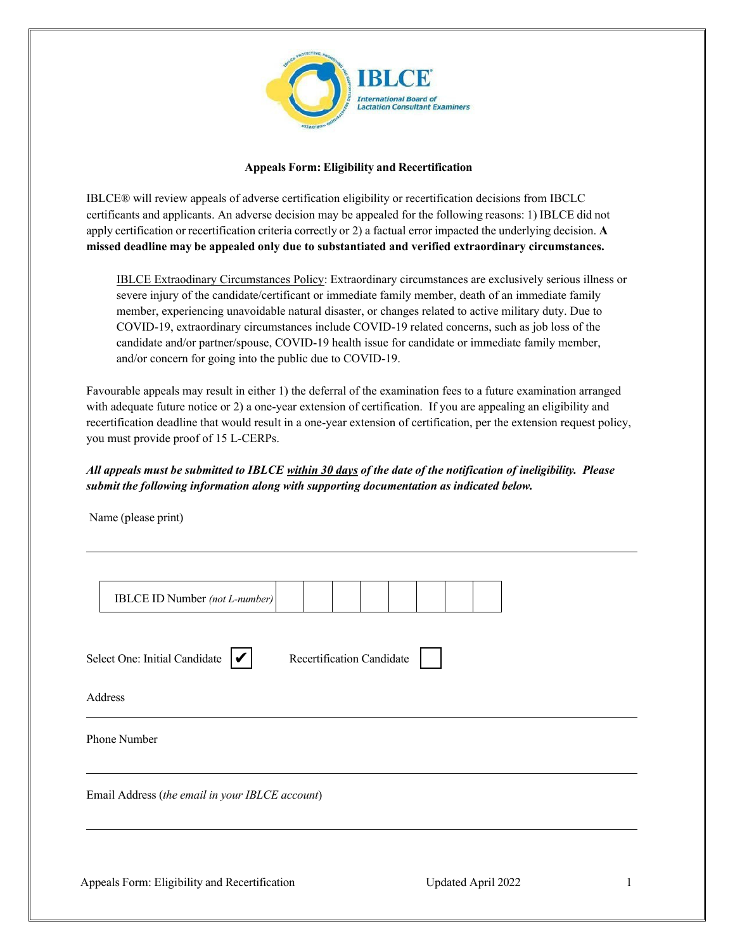

## **Appeals Form: Eligibility and Recertification**

IBLCE® will review appeals of adverse certification eligibility or recertification decisions from IBCLC certificants and applicants. An adverse decision may be appealed for the following reasons: 1) IBLCE did not apply certification or recertification criteria correctly or 2) a factual error impacted the underlying decision. **A missed deadline may be appealed only due to substantiated and verified extraordinary circumstances.**

IBLCE Extraodinary Circumstances Policy: Extraordinary circumstances are exclusively serious illness or severe injury of the candidate/certificant or immediate family member, death of an immediate family member, experiencing unavoidable natural disaster, or changes related to active military duty. Due to COVID-19, extraordinary circumstances include COVID-19 related concerns, such as job loss of the candidate and/or partner/spouse, COVID-19 health issue for candidate or immediate family member, and/or concern for going into the public due to COVID-19.

Favourable appeals may result in either 1) the deferral of the examination fees to a future examination arranged with adequate future notice or 2) a one-year extension of certification. If you are appealing an eligibility and recertification deadline that would result in a one-year extension of certification, per the extension request policy, you must provide proof of 15 L-CERPs.

## *All appeals must be submitted to IBLCE within 30 days of the date of the notification of ineligibility. Please submit the following information along with supporting documentation as indicated below.*

Name (please print)

|                                                 | <b>IBLCE ID Number</b> (not L-number)         |  |  |                           |  |  |  |  |
|-------------------------------------------------|-----------------------------------------------|--|--|---------------------------|--|--|--|--|
|                                                 |                                               |  |  |                           |  |  |  |  |
|                                                 | Select One: Initial Candidate $ \mathcal{V} $ |  |  | Recertification Candidate |  |  |  |  |
| Address                                         |                                               |  |  |                           |  |  |  |  |
| Phone Number                                    |                                               |  |  |                           |  |  |  |  |
| Email Address (the email in your IBLCE account) |                                               |  |  |                           |  |  |  |  |
|                                                 |                                               |  |  |                           |  |  |  |  |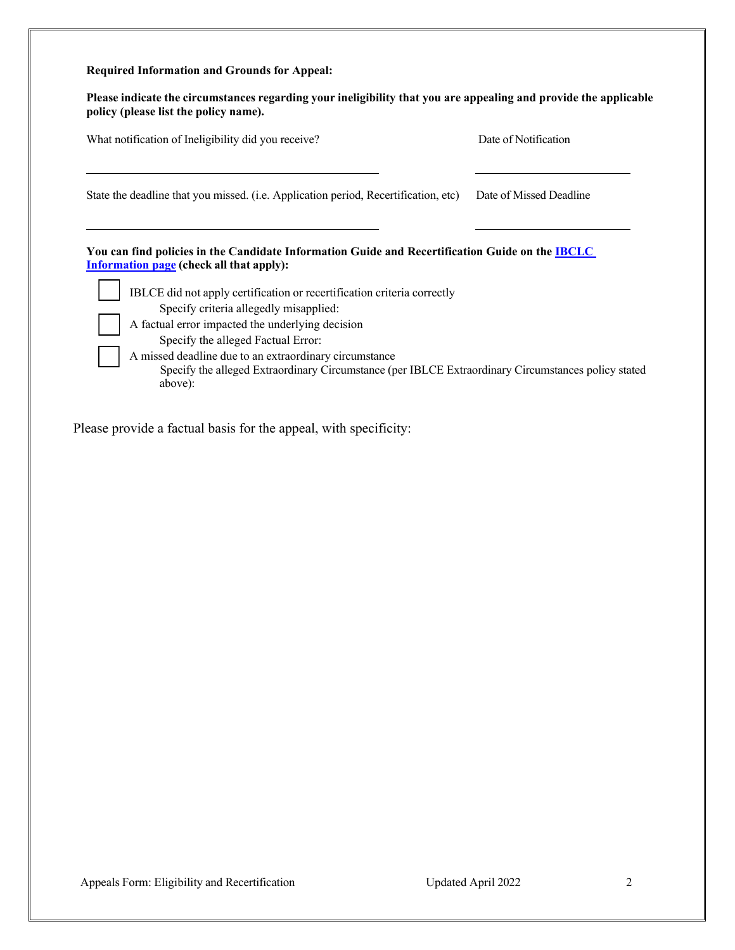## **Required Information and Grounds for Appeal:**

| Please indicate the circumstances regarding your ineligibility that you are appealing and provide the applicable |  |
|------------------------------------------------------------------------------------------------------------------|--|
| policy (please list the policy name).                                                                            |  |

| What notification of Ineligibility did you receive?                                                                                                                                                                                                                                                                                                                                                                                                                                                                                                  | Date of Notification    |  |  |
|------------------------------------------------------------------------------------------------------------------------------------------------------------------------------------------------------------------------------------------------------------------------------------------------------------------------------------------------------------------------------------------------------------------------------------------------------------------------------------------------------------------------------------------------------|-------------------------|--|--|
| State the deadline that you missed. (i.e. Application period, Recertification, etc)                                                                                                                                                                                                                                                                                                                                                                                                                                                                  | Date of Missed Deadline |  |  |
| You can find policies in the Candidate Information Guide and Recertification Guide on the <b>IBCLC</b><br><b>Information page (check all that apply):</b><br>IBLCE did not apply certification or recertification criteria correctly<br>Specify criteria allegedly misapplied:<br>A factual error impacted the underlying decision<br>Specify the alleged Factual Error:<br>A missed deadline due to an extraordinary circumstance<br>Specify the alleged Extraordinary Circumstance (per IBLCE Extraordinary Circumstances policy stated<br>above): |                         |  |  |

Please provide a factual basis for the appeal, with specificity: